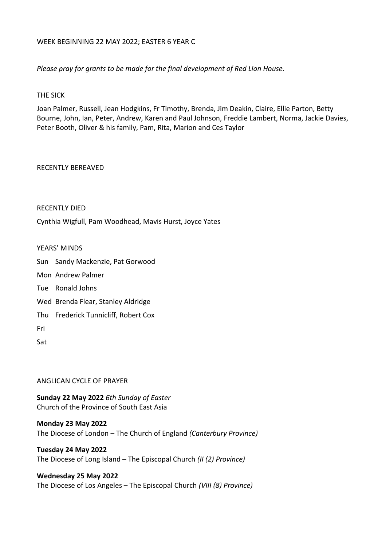#### WEEK BEGINNING 22 MAY 2022; EASTER 6 YEAR C

*Please pray for grants to be made for the final development of Red Lion House.*

#### THE SICK

Joan Palmer, Russell, Jean Hodgkins, Fr Timothy, Brenda, Jim Deakin, Claire, Ellie Parton, Betty Bourne, John, Ian, Peter, Andrew, Karen and Paul Johnson, Freddie Lambert, Norma, Jackie Davies, Peter Booth, Oliver & his family, Pam, Rita, Marion and Ces Taylor

#### RECENTLY BEREAVED

#### RECENTLY DIED

Cynthia Wigfull, Pam Woodhead, Mavis Hurst, Joyce Yates

#### YEARS' MINDS

Sun Sandy Mackenzie, Pat Gorwood

- Mon Andrew Palmer
- Tue Ronald Johns
- Wed Brenda Flear, Stanley Aldridge
- Thu Frederick Tunnicliff, Robert Cox
- Fri

Sat

### ANGLICAN CYCLE OF PRAYER

**Sunday 22 May 2022** *6th Sunday of Easter* Church of the Province of South East Asia

**Monday 23 May 2022** The Diocese of London – The Church of England *(Canterbury Province)*

**Tuesday 24 May 2022** The Diocese of Long Island – The Episcopal Church *(II (2) Province)*

#### **Wednesday 25 May 2022**

The Diocese of Los Angeles – The Episcopal Church *(VIII (8) Province)*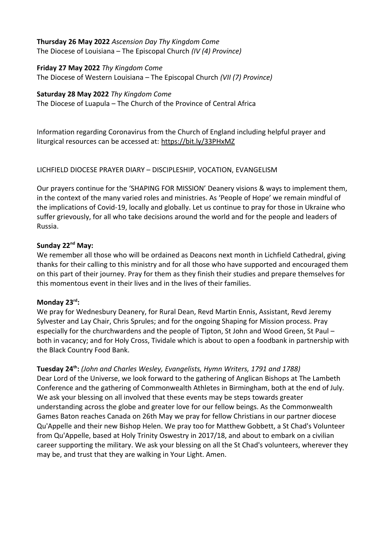#### **Thursday 26 May 2022** *Ascension Day Thy Kingdom Come* The Diocese of Louisiana – The Episcopal Church *(IV (4) Province)*

**Friday 27 May 2022** *Thy Kingdom Come* The Diocese of Western Louisiana – The Episcopal Church *(VII (7) Province)*

## **Saturday 28 May 2022** *Thy Kingdom Come*

The Diocese of Luapula – The Church of the Province of Central Africa

Information regarding Coronavirus from the Church of England including helpful prayer and liturgical resources can be accessed at:<https://bit.ly/33PHxMZ>

## LICHFIELD DIOCESE PRAYER DIARY – DISCIPLESHIP, VOCATION, EVANGELISM

Our prayers continue for the 'SHAPING FOR MISSION' Deanery visions & ways to implement them, in the context of the many varied roles and ministries. As 'People of Hope' we remain mindful of the implications of Covid-19, locally and globally. Let us continue to pray for those in Ukraine who suffer grievously, for all who take decisions around the world and for the people and leaders of Russia.

## **Sunday 22nd May:**

We remember all those who will be ordained as Deacons next month in Lichfield Cathedral, giving thanks for their calling to this ministry and for all those who have supported and encouraged them on this part of their journey. Pray for them as they finish their studies and prepare themselves for this momentous event in their lives and in the lives of their families.

## **Monday 23rd:**

We pray for Wednesbury Deanery, for Rural Dean, Revd Martin Ennis, Assistant, Revd Jeremy Sylvester and Lay Chair, Chris Sprules; and for the ongoing Shaping for Mission process. Pray especially for the churchwardens and the people of Tipton, St John and Wood Green, St Paul – both in vacancy; and for Holy Cross, Tividale which is about to open a foodbank in partnership with the Black Country Food Bank.

**Tuesday 24th:** *(John and Charles Wesley, Evangelists, Hymn Writers, 1791 and 1788)* Dear Lord of the Universe, we look forward to the gathering of Anglican Bishops at The Lambeth Conference and the gathering of Commonwealth Athletes in Birmingham, both at the end of July. We ask your blessing on all involved that these events may be steps towards greater understanding across the globe and greater love for our fellow beings. As the Commonwealth Games Baton reaches Canada on 26th May we pray for fellow Christians in our partner diocese Qu'Appelle and their new Bishop Helen. We pray too for Matthew Gobbett, a St Chad's Volunteer from Qu'Appelle, based at Holy Trinity Oswestry in 2017/18, and about to embark on a civilian career supporting the military. We ask your blessing on all the St Chad's volunteers, wherever they may be, and trust that they are walking in Your Light. Amen.